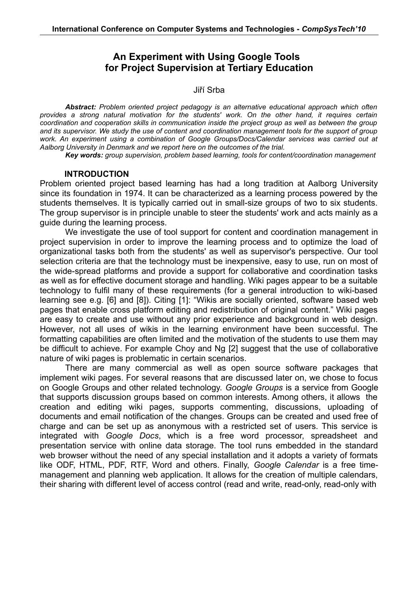# **An Experiment with Using Google Tools for Project Supervision at Tertiary Education**

#### Jiří Srba

*Abstract: Problem oriented project pedagogy is an alternative educational approach which often provides a strong natural motivation for the students' work. On the other hand, it requires certain coordination and cooperation skills in communication inside the project group as well as between the group and its supervisor. We study the use of content and coordination management tools for the support of group work. An experiment using a combination of Google Groups/Docs/Calendar services was carried out at Aalborg University in Denmark and we report here on the outcomes of the trial.* 

*Key words: group supervision, problem based learning, tools for content/coordination management*

#### **INTRODUCTION**

Problem oriented project based learning has had a long tradition at Aalborg University since its foundation in 1974. It can be characterized as a learning process powered by the students themselves. It is typically carried out in small-size groups of two to six students. The group supervisor is in principle unable to steer the students' work and acts mainly as a guide during the learning process.

We investigate the use of tool support for content and coordination management in project supervision in order to improve the learning process and to optimize the load of organizational tasks both from the students' as well as supervisor's perspective. Our tool selection criteria are that the technology must be inexpensive, easy to use, run on most of the wide-spread platforms and provide a support for collaborative and coordination tasks as well as for effective document storage and handling. Wiki pages appear to be a suitable technology to fulfil many of these requirements (for a general introduction to wiki-based learning see e.g. [6] and [8]). Citing [1]: "Wikis are socially oriented, software based web pages that enable cross platform editing and redistribution of original content." Wiki pages are easy to create and use without any prior experience and background in web design. However, not all uses of wikis in the learning environment have been successful. The formatting capabilities are often limited and the motivation of the students to use them may be difficult to achieve. For example Choy and Ng [2] suggest that the use of collaborative nature of wiki pages is problematic in certain scenarios.

There are many commercial as well as open source software packages that implement wiki pages. For several reasons that are discussed later on, we chose to focus on Google Groups and other related technology. *Google Groups* is a service from Google that supports discussion groups based on common interests. Among others, it allows the creation and editing wiki pages, supports commenting, discussions, uploading of documents and email notification of the changes. Groups can be created and used free of charge and can be set up as anonymous with a restricted set of users. This service is integrated with *Google Docs*, which is a free word processor, spreadsheet and presentation service with online data storage. The tool runs embedded in the standard web browser without the need of any special installation and it adopts a variety of formats like ODF, HTML, PDF, RTF, Word and others. Finally, *Google Calendar* is a free timemanagement and planning web application. It allows for the creation of multiple calendars, their sharing with different level of access control (read and write, read-only, read-only with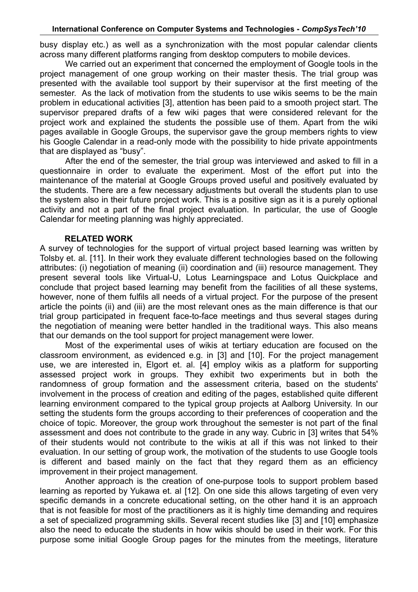busy display etc.) as well as a synchronization with the most popular calendar clients across many different platforms ranging from desktop computers to mobile devices.

We carried out an experiment that concerned the employment of Google tools in the project management of one group working on their master thesis. The trial group was presented with the available tool support by their supervisor at the first meeting of the semester. As the lack of motivation from the students to use wikis seems to be the main problem in educational activities [3], attention has been paid to a smooth project start. The supervisor prepared drafts of a few wiki pages that were considered relevant for the project work and explained the students the possible use of them. Apart from the wiki pages available in Google Groups, the supervisor gave the group members rights to view his Google Calendar in a read-only mode with the possibility to hide private appointments that are displayed as "busy".

After the end of the semester, the trial group was interviewed and asked to fill in a questionnaire in order to evaluate the experiment. Most of the effort put into the maintenance of the material at Google Groups proved useful and positively evaluated by the students. There are a few necessary adjustments but overall the students plan to use the system also in their future project work. This is a positive sign as it is a purely optional activity and not a part of the final project evaluation. In particular, the use of Google Calendar for meeting planning was highly appreciated.

#### **RELATED WORK**

A survey of technologies for the support of virtual project based learning was written by Tolsby et. al. [11]. In their work they evaluate different technologies based on the following attributes: (i) negotiation of meaning (ii) coordination and (iii) resource management. They present several tools like Virtual-U, Lotus Learningspace and Lotus Quickplace and conclude that project based learning may benefit from the facilities of all these systems, however, none of them fulfils all needs of a virtual project. For the purpose of the present article the points (ii) and (iii) are the most relevant ones as the main difference is that our trial group participated in frequent face-to-face meetings and thus several stages during the negotiation of meaning were better handled in the traditional ways. This also means that our demands on the tool support for project management were lower.

Most of the experimental uses of wikis at tertiary education are focused on the classroom environment, as evidenced e.g. in [3] and [10]. For the project management use, we are interested in, Elgort et. al. [4] employ wikis as a platform for supporting assessed project work in groups. They exhibit two experiments but in both the randomness of group formation and the assessment criteria, based on the students' involvement in the process of creation and editing of the pages, established quite different learning environment compared to the typical group projects at Aalborg University. In our setting the students form the groups according to their preferences of cooperation and the choice of topic. Moreover, the group work throughout the semester is not part of the final assessment and does not contribute to the grade in any way. Cubric in [3] writes that 54% of their students would not contribute to the wikis at all if this was not linked to their evaluation. In our setting of group work, the motivation of the students to use Google tools is different and based mainly on the fact that they regard them as an efficiency improvement in their project management.

Another approach is the creation of one-purpose tools to support problem based learning as reported by Yukawa et. al [12]. On one side this allows targeting of even very specific demands in a concrete educational setting, on the other hand it is an approach that is not feasible for most of the practitioners as it is highly time demanding and requires a set of specialized programming skills. Several recent studies like [3] and [10] emphasize also the need to educate the students in how wikis should be used in their work. For this purpose some initial Google Group pages for the minutes from the meetings, literature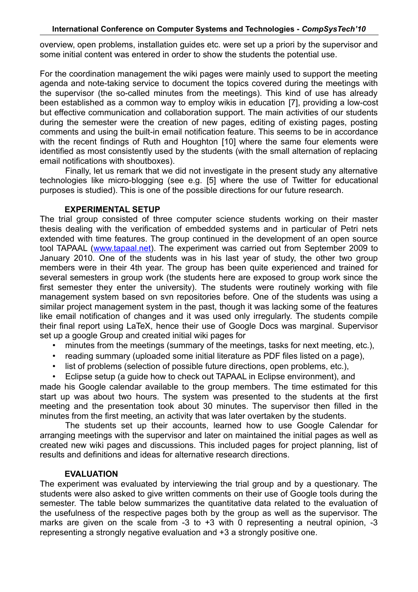overview, open problems, installation guides etc. were set up a priori by the supervisor and some initial content was entered in order to show the students the potential use.

For the coordination management the wiki pages were mainly used to support the meeting agenda and note-taking service to document the topics covered during the meetings with the supervisor (the so-called minutes from the meetings). This kind of use has already been established as a common way to employ wikis in education [7], providing a low-cost but effective communication and collaboration support. The main activities of our students during the semester were the creation of new pages, editing of existing pages, posting comments and using the built-in email notification feature. This seems to be in accordance with the recent findings of Ruth and Houghton [10] where the same four elements were identified as most consistently used by the students (with the small alternation of replacing email notifications with shoutboxes).

Finally, let us remark that we did not investigate in the present study any alternative technologies like micro-blogging (see e.g. [5] where the use of Twitter for educational purposes is studied). This is one of the possible directions for our future research.

## **EXPERIMENTAL SETUP**

The trial group consisted of three computer science students working on their master thesis dealing with the verification of embedded systems and in particular of Petri nets extended with time features. The group continued in the development of an open source tool TAPAAL [\(www.tapaal.net\)](http://www.tapaal.net/). The experiment was carried out from September 2009 to January 2010. One of the students was in his last year of study, the other two group members were in their 4th year. The group has been quite experienced and trained for several semesters in group work (the students here are exposed to group work since the first semester they enter the university). The students were routinely working with file management system based on svn repositories before. One of the students was using a similar project management system in the past, though it was lacking some of the features like email notification of changes and it was used only irregularly. The students compile their final report using LaTeX, hence their use of Google Docs was marginal. Supervisor set up a google Group and created initial wiki pages for

- minutes from the meetings (summary of the meetings, tasks for next meeting, etc.),
- reading summary (uploaded some initial literature as PDF files listed on a page),
- list of problems (selection of possible future directions, open problems, etc.),
- Eclipse setup (a guide how to check out TAPAAL in Eclipse environment), and

made his Google calendar available to the group members. The time estimated for this start up was about two hours. The system was presented to the students at the first meeting and the presentation took about 30 minutes. The supervisor then filled in the minutes from the first meeting, an activity that was later overtaken by the students.

The students set up their accounts, learned how to use Google Calendar for arranging meetings with the supervisor and later on maintained the initial pages as well as created new wiki pages and discussions. This included pages for project planning, list of results and definitions and ideas for alternative research directions.

## **EVALUATION**

The experiment was evaluated by interviewing the trial group and by a questionary. The students were also asked to give written comments on their use of Google tools during the semester. The table below summarizes the quantitative data related to the evaluation of the usefulness of the respective pages both by the group as well as the supervisor. The marks are given on the scale from -3 to +3 with 0 representing a neutral opinion, -3 representing a strongly negative evaluation and +3 a strongly positive one.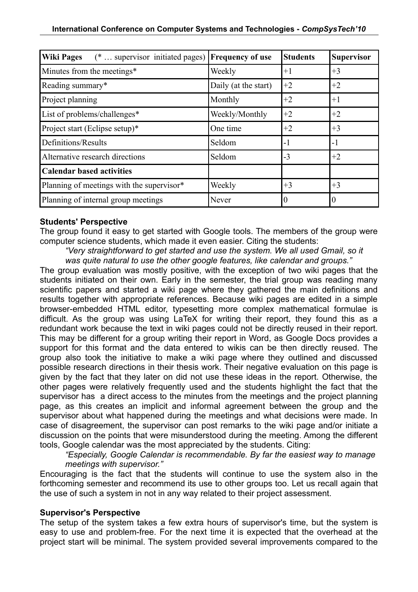| Wiki Pages (*  supervisor initiated pages) | <b>Frequency of use</b> | <b>Students</b>  | <b>Supervisor</b> |
|--------------------------------------------|-------------------------|------------------|-------------------|
| Minutes from the meetings*                 | Weekly                  | $+1$             | $+3$              |
| Reading summary*                           | Daily (at the start)    | $+2$             | $+2$              |
| Project planning                           | Monthly                 | $+2$             | $+1$              |
| List of problems/challenges*               | Weekly/Monthly          | $+2$             | $+2$              |
| Project start (Eclipse setup)*             | One time                | $+2$             | $+3$              |
| Definitions/Results                        | Seldom                  | $-1$             | $-1$              |
| Alternative research directions            | Seldom                  | $-3$             | $+2$              |
| <b>Calendar based activities</b>           |                         |                  |                   |
| Planning of meetings with the supervisor*  | Weekly                  | $+3$             | $+3$              |
| Planning of internal group meetings        | Never                   | $\boldsymbol{0}$ | 10                |

## **Students' Perspective**

The group found it easy to get started with Google tools. The members of the group were computer science students, which made it even easier. Citing the students:

*"Very straightforward to get started and use the system. We all used Gmail, so it was quite natural to use the other google features, like calendar and groups."*

The group evaluation was mostly positive, with the exception of two wiki pages that the students initiated on their own. Early in the semester, the trial group was reading many scientific papers and started a wiki page where they gathered the main definitions and results together with appropriate references. Because wiki pages are edited in a simple browser-embedded HTML editor, typesetting more complex mathematical formulae is difficult. As the group was using LaTeX for writing their report, they found this as a redundant work because the text in wiki pages could not be directly reused in their report. This may be different for a group writing their report in Word, as Google Docs provides a support for this format and the data entered to wikis can be then directly reused. The group also took the initiative to make a wiki page where they outlined and discussed possible research directions in their thesis work. Their negative evaluation on this page is given by the fact that they later on did not use these ideas in the report. Otherwise, the other pages were relatively frequently used and the students highlight the fact that the supervisor has a direct access to the minutes from the meetings and the project planning page, as this creates an implicit and informal agreement between the group and the supervisor about what happened during the meetings and what decisions were made. In case of disagreement, the supervisor can post remarks to the wiki page and/or initiate a discussion on the points that were misunderstood during the meeting. Among the different tools, Google calendar was the most appreciated by the students. Citing:

*"Especially, Google Calendar is recommendable. By far the easiest way to manage meetings with supervisor."*

Encouraging is the fact that the students will continue to use the system also in the forthcoming semester and recommend its use to other groups too. Let us recall again that the use of such a system in not in any way related to their project assessment.

## **Supervisor's Perspective**

The setup of the system takes a few extra hours of supervisor's time, but the system is easy to use and problem-free. For the next time it is expected that the overhead at the project start will be minimal. The system provided several improvements compared to the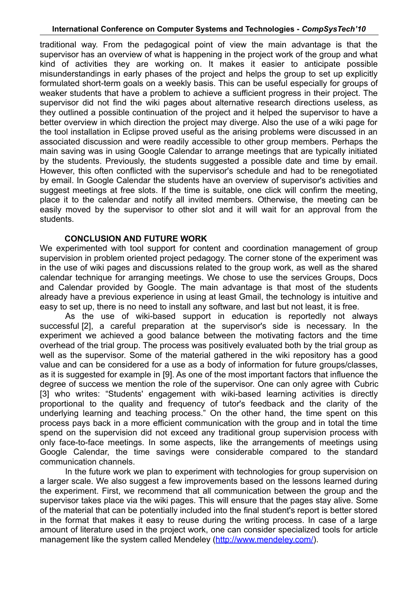traditional way. From the pedagogical point of view the main advantage is that the supervisor has an overview of what is happening in the project work of the group and what kind of activities they are working on. It makes it easier to anticipate possible misunderstandings in early phases of the project and helps the group to set up explicitly formulated short-term goals on a weekly basis. This can be useful especially for groups of weaker students that have a problem to achieve a sufficient progress in their project. The supervisor did not find the wiki pages about alternative research directions useless, as they outlined a possible continuation of the project and it helped the supervisor to have a better overview in which direction the project may diverge. Also the use of a wiki page for the tool installation in Eclipse proved useful as the arising problems were discussed in an associated discussion and were readily accessible to other group members. Perhaps the main saving was in using Google Calendar to arrange meetings that are typically initiated by the students. Previously, the students suggested a possible date and time by email. However, this often conflicted with the supervisor's schedule and had to be renegotiated by email. In Google Calendar the students have an overview of supervisor's activities and suggest meetings at free slots. If the time is suitable, one click will confirm the meeting, place it to the calendar and notify all invited members. Otherwise, the meeting can be easily moved by the supervisor to other slot and it will wait for an approval from the students.

## **CONCLUSION AND FUTURE WORK**

We experimented with tool support for content and coordination management of group supervision in problem oriented project pedagogy. The corner stone of the experiment was in the use of wiki pages and discussions related to the group work, as well as the shared calendar technique for arranging meetings. We chose to use the services Groups, Docs and Calendar provided by Google. The main advantage is that most of the students already have a previous experience in using at least Gmail, the technology is intuitive and easy to set up, there is no need to install any software, and last but not least, it is free.

As the use of wiki-based support in education is reportedly not always successful [2], a careful preparation at the supervisor's side is necessary. In the experiment we achieved a good balance between the motivating factors and the time overhead of the trial group. The process was positively evaluated both by the trial group as well as the supervisor. Some of the material gathered in the wiki repository has a good value and can be considered for a use as a body of information for future groups/classes, as it is suggested for example in [9]. As one of the most important factors that influence the degree of success we mention the role of the supervisor. One can only agree with Cubric [3] who writes: "Students' engagement with wiki-based learning activities is directly proportional to the quality and frequency of tutor's feedback and the clarity of the underlying learning and teaching process." On the other hand, the time spent on this process pays back in a more efficient communication with the group and in total the time spend on the supervision did not exceed any traditional group supervision process with only face-to-face meetings. In some aspects, like the arrangements of meetings using Google Calendar, the time savings were considerable compared to the standard communication channels.

In the future work we plan to experiment with technologies for group supervision on a larger scale. We also suggest a few improvements based on the lessons learned during the experiment. First, we recommend that all communication between the group and the supervisor takes place via the wiki pages. This will ensure that the pages stay alive. Some of the material that can be potentially included into the final student's report is better stored in the format that makes it easy to reuse during the writing process. In case of a large amount of literature used in the project work, one can consider specialized tools for article management like the system called Mendeley [\(http://www.mendeley.com/\)](http://www.mendeley.com/).